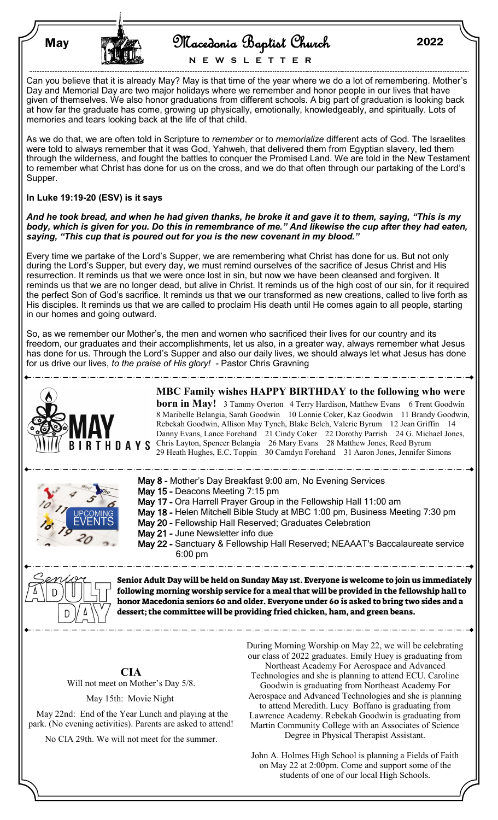| <b>May</b> | TANK | Macedonia Baptist Church | 2022 |
|------------|------|--------------------------|------|
|            |      |                          |      |

**N E W S L E T T E R**

Can you believe that it is already May? May is that time of the year where we do a lot of remembering. Mother's Day and Memorial Day are two major holidays where we remember and honor people in our lives that have given of themselves. We also honor graduations from different schools. A big part of graduation is looking back at how far the graduate has come, growing up physically, emotionally, knowledgeably, and spiritually. Lots of memories and tears looking back at the life of that child.

As we do that, we are often told in Scripture to *remember* or to *memorialize* different acts of God. The Israelites were told to always remember that it was God, Yahweh, that delivered them from Egyptian slavery, led them through the wilderness, and fought the battles to conquer the Promised Land. We are told in the New Testament to remember what Christ has done for us on the cross, and we do that often through our partaking of the Lord's Supper.

## **In Luke 19:19-20 (ESV) is it says**

*And he took bread, and when he had given thanks, he broke it and gave it to them, saying, "This is my body, which is given for you. Do this in remembrance of me." And likewise the cup after they had eaten, saying, "This cup that is poured out for you is the new covenant in my blood."* 

Every time we partake of the Lord's Supper, we are remembering what Christ has done for us. But not only during the Lord's Supper, but every day, we must remind ourselves of the sacrifice of Jesus Christ and His resurrection. It reminds us that we were once lost in sin, but now we have been cleansed and forgiven. It reminds us that we are no longer dead, but alive in Christ. It reminds us of the high cost of our sin, for it required the perfect Son of God's sacrifice. It reminds us that we our transformed as new creations, called to live forth as His disciples. It reminds us that we are called to proclaim His death until He comes again to all people, starting in our homes and going outward.

So, as we remember our Mother's, the men and women who sacrificed their lives for our country and its freedom, our graduates and their accomplishments, let us also, in a greater way, always remember what Jesus has done for us. Through the Lord's Supper and also our daily lives, we should always let what Jesus has done for us drive our lives, *to the praise of His glory! -* Pastor Chris Gravning



John A. Holmes High School is planning a Fields of Faith on May 22 at 2:00pm. Come and support some of the students of one of our local High Schools.